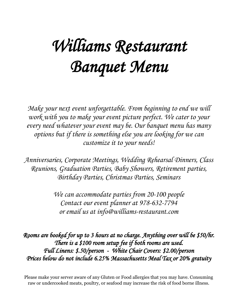# *Williams Restaurant Banquet Menu*

*Make your next event unforgettable. From beginning to end we will work with you to make your event picture perfect. We cater to your every need whatever your event may be. Our banquet menu has many options but if there is something else you are looking for we can customize it to your needs!*

*Anniversaries, Corporate Meetings, Wedding Rehearsal Dinners, Class Reunions, Graduation Parties, Baby Showers, Retirement parties, Birthday Parties, Christmas Parties, Seminars*

> *We can accommodate parties from 20-100 people Contact our event planner at 978-632-7794 or email us at info@williams-restaurant.com*

*Rooms are booked for up to 3 hours at no charge. Anything over will be \$50/hr. There is a \$100 room setup fee if both rooms are used. Full Linens: \$.50/person - White Chair Covers: \$2.00/person Prices below do not include 6.25% Massachusetts Meal Tax or 20% gratuity* 

Please make your server aware of any Gluten or Food allergies that you may have. Consuming raw or undercooked meats, poultry, or seafood may increase the risk of food borne illness.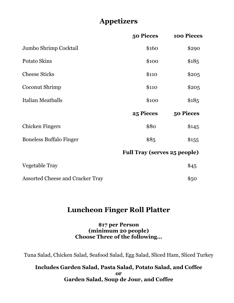# **Appetizers**

|                                         | 50 Pieces                           | 100 Pieces |
|-----------------------------------------|-------------------------------------|------------|
| Jumbo Shrimp Cocktail                   | \$160                               | \$290      |
| <b>Potato Skins</b>                     | \$100                               | \$185      |
| <b>Cheese Sticks</b>                    | \$110                               | \$205      |
| Coconut Shrimp                          | \$110                               | \$205      |
| Italian Meatballs                       | \$100                               | \$185      |
|                                         | 25 Pieces                           | 50 Pieces  |
| <b>Chicken Fingers</b>                  | \$80                                | \$145      |
| <b>Boneless Buffalo Finger</b>          | \$85                                | \$155      |
|                                         | <b>Full Tray (serves 25 people)</b> |            |
| Vegetable Tray                          |                                     | \$45       |
| <b>Assorted Cheese and Cracker Tray</b> |                                     | \$50       |

## **Luncheon Finger Roll Platter**

## **\$17 per Person (minimum 20 people) Choose Three of the following…**

Tuna Salad, Chicken Salad, Seafood Salad, Egg Salad, Sliced Ham, Sliced Turkey

## **Includes Garden Salad, Pasta Salad, Potato Salad, and Coffee or Garden Salad, Soup de Jour, and Coffee**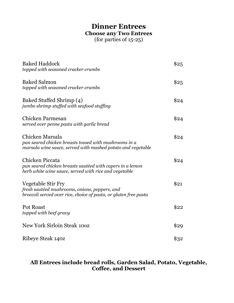# **Dinner Entrees Choose any Two Entrees**

(for parties of 15-25)

| <b>Baked Haddock</b><br>topped with seasoned cracker crumbs                                                                             | \$25 |
|-----------------------------------------------------------------------------------------------------------------------------------------|------|
| <b>Baked Salmon</b><br>topped with seasoned cracker crumbs                                                                              | \$25 |
| Baked Stuffed Shrimp (4)<br>jumbo shrimp stuffed with seafood stuffing                                                                  | \$24 |
| Chicken Parmesan<br>served over penne pasta with garlic bread                                                                           | \$24 |
| Chicken Marsala<br>pan seared chicken breasts tossed with mushrooms in a<br>marsala wine sauce, served with mashed potato and vegetable | \$24 |
| Chicken Piccata<br>pan seared chicken breasts sautéed with capers in a lemon<br>herb white wine sauce, served with rice and vegetable   | \$24 |
| Vegetable Stir Fry<br>fresh sautéed mushrooms, onions, peppers, and<br>broccoli served over rice, choice of pasta, or gluten free pasta | \$21 |
| <b>Pot Roast</b><br>topped with beef gravy                                                                                              | \$22 |
| <b>New York Sirloin Steak 100Z</b>                                                                                                      | \$29 |
| Ribeye Steak 140z                                                                                                                       | \$32 |

## **All Entrees include bread rolls, Garden Salad, Potato, Vegetable, Coffee, and Dessert**